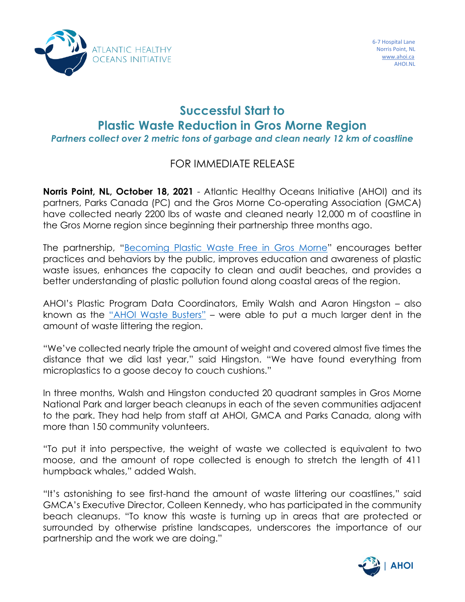

## **Successful Start to Plastic Waste Reduction in Gros Morne Region**

*Partners collect over 2 metric tons of garbage and clean nearly 12 km of coastline*

## FOR IMMEDIATE RELEASE

**Norris Point, NL, October 18, 2021** - Atlantic Healthy Oceans Initiative (AHOI) and its partners, Parks Canada (PC) and the Gros Morne Co-operating Association (GMCA) have collected nearly 2200 lbs of waste and cleaned nearly 12,000 m of coastline in the Gros Morne region since beginning their partnership three months ago.

The partnership, "[Becoming Plastic Waste Free in Gros Morne](https://cde79df6-c8ee-4687-bfc1-a54e96cd5670.filesusr.com/ugd/4108a4_5841205acb1e4926a62b239c78b117d0.pdf)" encourages better practices and behaviors by the public, improves education and awareness of plastic waste issues, enhances the capacity to clean and audit beaches, and provides a better understanding of plastic pollution found along coastal areas of the region.

AHOI's Plastic Program Data Coordinators, Emily Walsh and Aaron Hingston – also known as the ["AHOI Waste Busters"](https://www.ahoi.ca/post/cleaning-our-coasts-with-ahoiwastebusters) - were able to put a much larger dent in the amount of waste littering the region.

"We've collected nearly triple the amount of weight and covered almost five times the distance that we did last year," said Hingston. "We have found everything from microplastics to a goose decoy to couch cushions."

In three months, Walsh and Hingston conducted 20 quadrant samples in Gros Morne National Park and larger beach cleanups in each of the seven communities adjacent to the park. They had help from staff at AHOI, GMCA and Parks Canada, along with more than 150 community volunteers.

"To put it into perspective, the weight of waste we collected is equivalent to two moose, and the amount of rope collected is enough to stretch the length of 411 humpback whales," added Walsh.

"It's astonishing to see first-hand the amount of waste littering our coastlines," said GMCA's Executive Director, Colleen Kennedy, who has participated in the community beach cleanups. "To know this waste is turning up in areas that are protected or surrounded by otherwise pristine landscapes, underscores the importance of our partnership and the work we are doing."